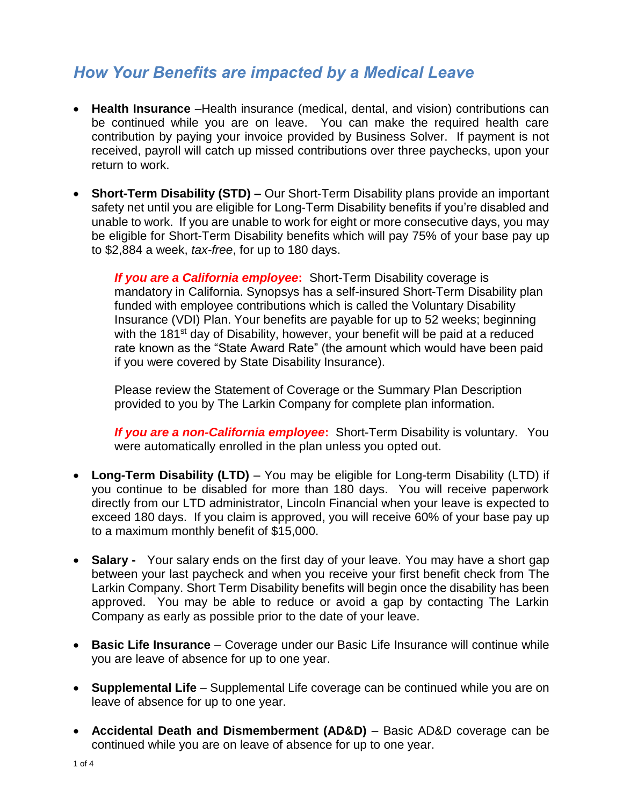## *How Your Benefits are impacted by a Medical Leave*

- **Health Insurance** –Health insurance (medical, dental, and vision) contributions can be continued while you are on leave. You can make the required health care contribution by paying your invoice provided by Business Solver. If payment is not received, payroll will catch up missed contributions over three paychecks, upon your return to work.
- **Short-Term Disability (STD) –** Our Short-Term Disability plans provide an important safety net until you are eligible for Long-Term Disability benefits if you're disabled and unable to work. If you are unable to work for eight or more consecutive days, you may be eligible for Short-Term Disability benefits which will pay 75% of your base pay up to \$2,884 a week, *tax-free*, for up to 180 days.

*If you are a California employee***:** Short-Term Disability coverage is mandatory in California. Synopsys has a self-insured Short-Term Disability plan funded with employee contributions which is called the Voluntary Disability Insurance (VDI) Plan. Your benefits are payable for up to 52 weeks; beginning with the 181<sup>st</sup> day of Disability, however, your benefit will be paid at a reduced rate known as the "State Award Rate" (the amount which would have been paid if you were covered by State Disability Insurance).

Please review the Statement of Coverage or the Summary Plan Description provided to you by The Larkin Company for complete plan information.

*If you are a non-California employee***:** Short-Term Disability is voluntary. You were automatically enrolled in the plan unless you opted out.

- **Long-Term Disability (LTD)** You may be eligible for Long-term Disability (LTD) if you continue to be disabled for more than 180 days. You will receive paperwork directly from our LTD administrator, Lincoln Financial when your leave is expected to exceed 180 days. If you claim is approved, you will receive 60% of your base pay up to a maximum monthly benefit of \$15,000.
- **Salary -** Your salary ends on the first day of your leave. You may have a short gap between your last paycheck and when you receive your first benefit check from The Larkin Company. Short Term Disability benefits will begin once the disability has been approved. You may be able to reduce or avoid a gap by contacting The Larkin Company as early as possible prior to the date of your leave.
- **Basic Life Insurance** Coverage under our Basic Life Insurance will continue while you are leave of absence for up to one year.
- **Supplemental Life** Supplemental Life coverage can be continued while you are on leave of absence for up to one year.
- **Accidental Death and Dismemberment (AD&D)** Basic AD&D coverage can be continued while you are on leave of absence for up to one year.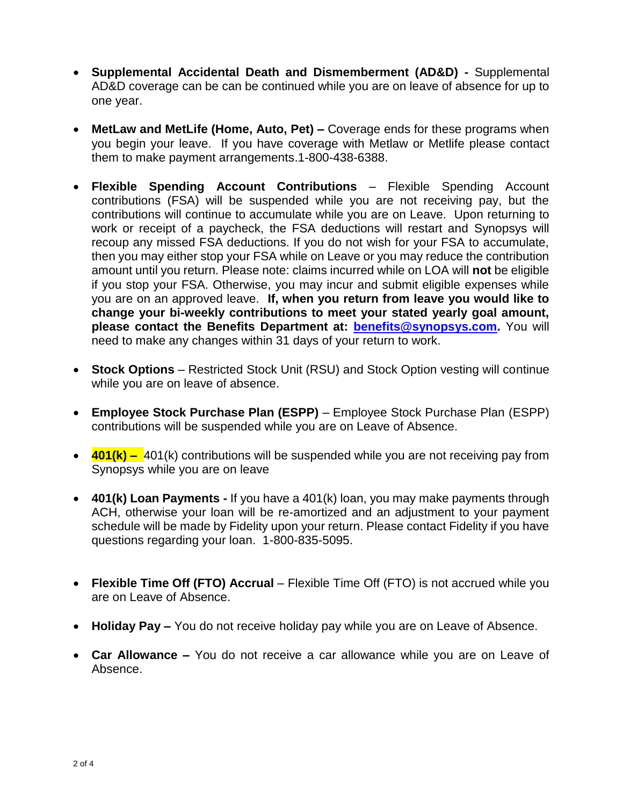- **Supplemental Accidental Death and Dismemberment (AD&D) -** Supplemental AD&D coverage can be can be continued while you are on leave of absence for up to one year.
- **MetLaw and MetLife (Home, Auto, Pet) –** Coverage ends for these programs when you begin your leave. If you have coverage with Metlaw or Metlife please contact them to make payment arrangements.1-800-438-6388.
- **Flexible Spending Account Contributions** Flexible Spending Account contributions (FSA) will be suspended while you are not receiving pay, but the contributions will continue to accumulate while you are on Leave. Upon returning to work or receipt of a paycheck, the FSA deductions will restart and Synopsys will recoup any missed FSA deductions. If you do not wish for your FSA to accumulate, then you may either stop your FSA while on Leave or you may reduce the contribution amount until you return. Please note: claims incurred while on LOA will **not** be eligible if you stop your FSA. Otherwise, you may incur and submit eligible expenses while you are on an approved leave. **If, when you return from leave you would like to change your bi-weekly contributions to meet your stated yearly goal amount, please contact the Benefits Department at: [benefits@synopsys.com.](mailto:benefits@synopsys.com)** You will need to make any changes within 31 days of your return to work.
- **Stock Options** Restricted Stock Unit (RSU) and Stock Option vesting will continue while you are on leave of absence.
- **Employee Stock Purchase Plan (ESPP)** Employee Stock Purchase Plan (ESPP) contributions will be suspended while you are on Leave of Absence.
- **401(k) –** 401(k) contributions will be suspended while you are not receiving pay from Synopsys while you are on leave
- **401(k) Loan Payments -** If you have a 401(k) loan, you may make payments through ACH, otherwise your loan will be re-amortized and an adjustment to your payment schedule will be made by Fidelity upon your return. Please contact Fidelity if you have questions regarding your loan. 1-800-835-5095.
- **Flexible Time Off (FTO) Accrual** Flexible Time Off (FTO) is not accrued while you are on Leave of Absence.
- **Holiday Pay –** You do not receive holiday pay while you are on Leave of Absence.
- **Car Allowance –** You do not receive a car allowance while you are on Leave of Absence.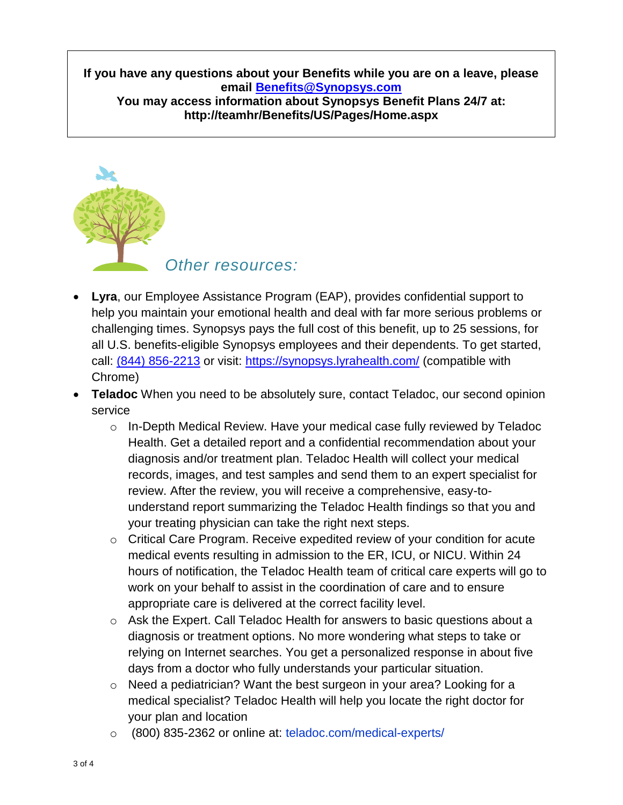**If you have any questions about your Benefits while you are on a leave, please email [Benefits@Synopsys.com](mailto:Benefits@Synopsys.com) You may access information about Synopsys Benefit Plans 24/7 at: http://teamhr/Benefits/US/Pages/Home.aspx**



- **Lyra**, our Employee Assistance Program (EAP), provides confidential support to help you maintain your emotional health and deal with far more serious problems or challenging times. Synopsys pays the full cost of this benefit, up to 25 sessions, for all U.S. benefits-eligible Synopsys employees and their dependents. To get started, call: [\(844\) 856-2213](tel:%28844%29856-2213) or visit:<https://synopsys.lyrahealth.com/> (compatible with Chrome)
- **Teladoc** When you need to be absolutely sure, contact Teladoc, our second opinion service
	- o In-Depth Medical Review. Have your medical case fully reviewed by Teladoc Health. Get a detailed report and a confidential recommendation about your diagnosis and/or treatment plan. Teladoc Health will collect your medical records, images, and test samples and send them to an expert specialist for review. After the review, you will receive a comprehensive, easy-tounderstand report summarizing the Teladoc Health findings so that you and your treating physician can take the right next steps.
	- o Critical Care Program. Receive expedited review of your condition for acute medical events resulting in admission to the ER, ICU, or NICU. Within 24 hours of notification, the Teladoc Health team of critical care experts will go to work on your behalf to assist in the coordination of care and to ensure appropriate care is delivered at the correct facility level.
	- o Ask the Expert. Call Teladoc Health for answers to basic questions about a diagnosis or treatment options. No more wondering what steps to take or relying on Internet searches. You get a personalized response in about five days from a doctor who fully understands your particular situation.
	- o Need a pediatrician? Want the best surgeon in your area? Looking for a medical specialist? Teladoc Health will help you locate the right doctor for your plan and location
	- o (800) 835-2362 or online at: teladoc.com/medical-experts/